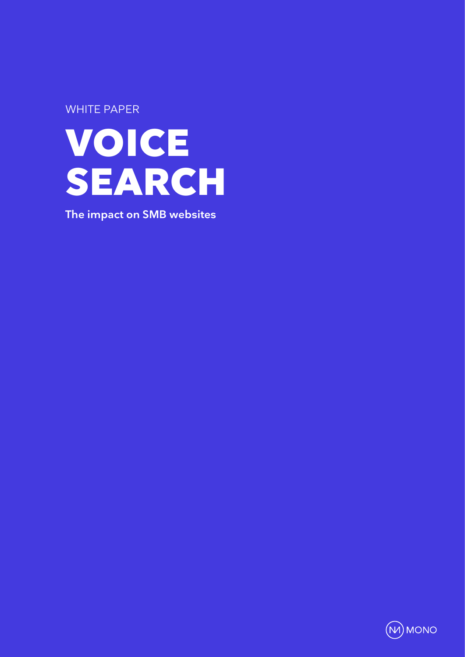WHITE PAPER



**The impact on SMB websites**

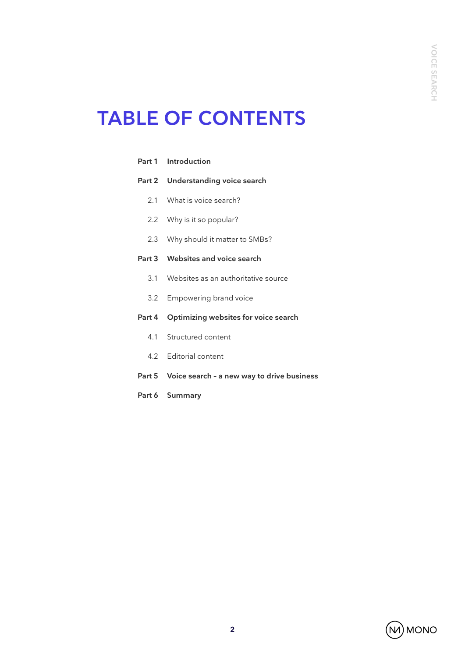# **TABLE OF CONTENTS**

|     | Part 1 Introduction                               |  |  |  |
|-----|---------------------------------------------------|--|--|--|
|     | Part 2 Understanding voice search                 |  |  |  |
|     | 2.1 What is voice search?                         |  |  |  |
|     | 2.2 Why is it so popular?                         |  |  |  |
| 2.3 | Why should it matter to SMBs?                     |  |  |  |
|     | Part 3 Websites and voice search                  |  |  |  |
|     | 3.1 Websites as an authoritative source           |  |  |  |
|     | 3.2 Empowering brand voice                        |  |  |  |
|     | Part 4 Optimizing websites for voice search       |  |  |  |
|     | 4.1 Structured content                            |  |  |  |
|     | 4.2 Editorial content                             |  |  |  |
|     | Part 5 Voice search - a new way to drive business |  |  |  |
|     | Part 6 Summary                                    |  |  |  |

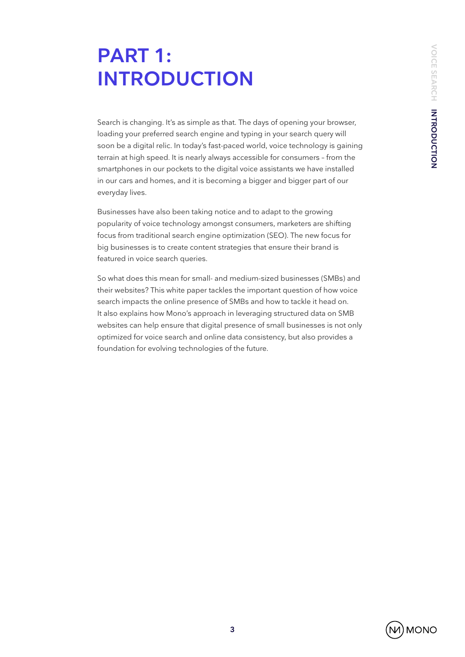# **PART 1: INTRODUCTION**

Search is changing. It's as simple as that. The days of opening your browser, loading your preferred search engine and typing in your search query will soon be a digital relic. In today's fast-paced world, voice technology is gaining terrain at high speed. It is nearly always accessible for consumers – from the smartphones in our pockets to the digital voice assistants we have installed in our cars and homes, and it is becoming a bigger and bigger part of our everyday lives.

Businesses have also been taking notice and to adapt to the growing popularity of voice technology amongst consumers, marketers are shifting focus from traditional search engine optimization (SEO). The new focus for big businesses is to create content strategies that ensure their brand is featured in voice search queries.

So what does this mean for small- and medium-sized businesses (SMBs) and their websites? This white paper tackles the important question of how voice search impacts the online presence of SMBs and how to tackle it head on. It also explains how Mono's approach in leveraging structured data on SMB websites can help ensure that digital presence of small businesses is not only optimized for voice search and online data consistency, but also provides a foundation for evolving technologies of the future.

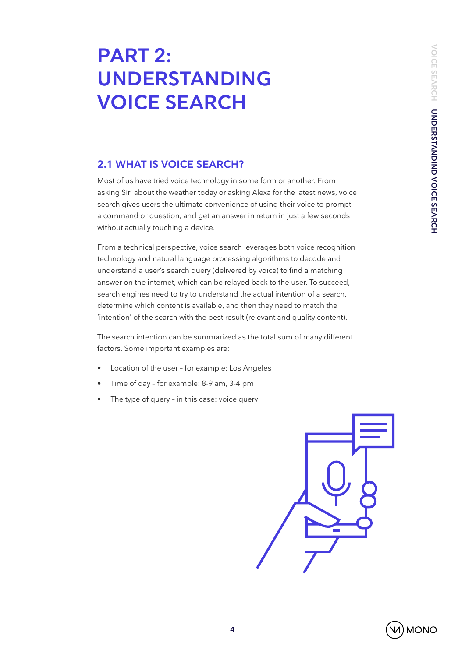# **PART 2: UNDERSTANDING VOICE SEARCH**

## **2.1 WHAT IS VOICE SEARCH?**

Most of us have tried voice technology in some form or another. From asking Siri about the weather today or asking Alexa for the latest news, voice search gives users the ultimate convenience of using their voice to prompt a command or question, and get an answer in return in just a few seconds without actually touching a device.

From a technical perspective, voice search leverages both voice recognition technology and natural language processing algorithms to decode and understand a user's search query (delivered by voice) to find a matching answer on the internet, which can be relayed back to the user. To succeed, search engines need to try to understand the actual intention of a search, determine which content is available, and then they need to match the 'intention' of the search with the best result (relevant and quality content).

The search intention can be summarized as the total sum of many different factors. Some important examples are:

- Location of the user for example: Los Angeles
- Time of day for example: 8-9 am, 3-4 pm
- The type of query in this case: voice query



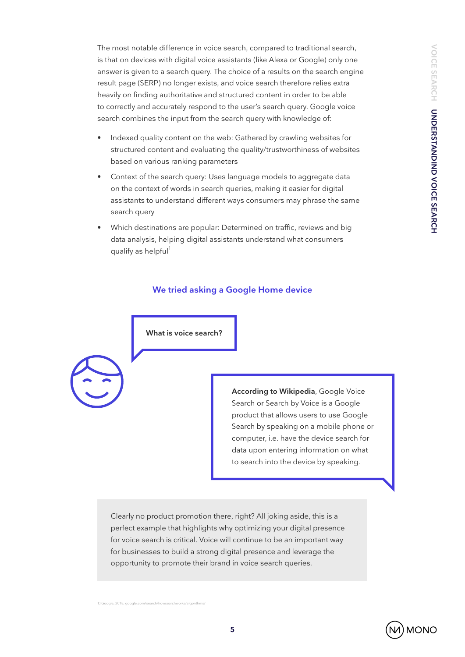The most notable difference in voice search, compared to traditional search, is that on devices with digital voice assistants (like Alexa or Google) only one answer is given to a search query. The choice of a results on the search engine result page (SERP) no longer exists, and voice search therefore relies extra heavily on finding authoritative and structured content in order to be able to correctly and accurately respond to the user's search query. Google voice search combines the input from the search query with knowledge of:

- Indexed quality content on the web: Gathered by crawling websites for structured content and evaluating the quality/trustworthiness of websites based on various ranking parameters
- Context of the search query: Uses language models to aggregate data on the context of words in search queries, making it easier for digital assistants to understand different ways consumers may phrase the same search query
- Which destinations are popular: Determined on traffic, reviews and big data analysis, helping digital assistants understand what consumers qualify as helpful<sup>1</sup>

#### **We tried asking a Google Home device**



nale, 2018, google

**According to Wikipedia**, Google Voice Search or Search by Voice is a Google product that allows users to use Google Search by speaking on a mobile phone or computer, i.e. have the device search for data upon entering information on what to search into the device by speaking.

Clearly no product promotion there, right? All joking aside, this is a perfect example that highlights why optimizing your digital presence for voice search is critical. Voice will continue to be an important way for businesses to build a strong digital presence and leverage the opportunity to promote their brand in voice search queries.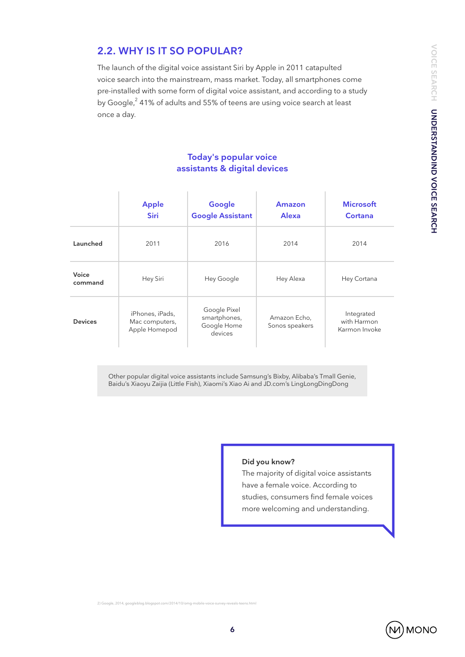## **2.2. WHY IS IT SO POPULAR?**

The launch of the digital voice assistant Siri by Apple in 2011 catapulted voice search into the mainstream, mass market. Today, all smartphones come pre-installed with some form of digital voice assistant, and according to a study by Google, $^2$  41% of adults and 55% of teens are using voice search at least once a day.

### **Today's popular voice assistants & digital devices**

|                  | <b>Apple</b><br><b>Siri</b>                        | Google<br><b>Google Assistant</b>                      | Amazon<br><b>Alexa</b>         | <b>Microsoft</b><br>Cortana                |
|------------------|----------------------------------------------------|--------------------------------------------------------|--------------------------------|--------------------------------------------|
| Launched         | 2011                                               | 2016                                                   | 2014                           | 2014                                       |
| Voice<br>command | Hey Siri                                           | Hey Google                                             | Hey Alexa                      | Hey Cortana                                |
| <b>Devices</b>   | iPhones, iPads,<br>Mac computers,<br>Apple Homepod | Google Pixel<br>smartphones,<br>Google Home<br>devices | Amazon Echo,<br>Sonos speakers | Integrated<br>with Harmon<br>Karmon Invoke |

Other popular digital voice assistants include Samsung's Bixby, Alibaba's Tmall Genie, Baidu's Xiaoyu Zaijia (Little Fish), Xiaomi's Xiao Ai and JD.com's LingLongDingDong

#### **Did you know?**

The majority of digital voice assistants have a female voice. According to studies, consumers find female voices more welcoming and understanding.

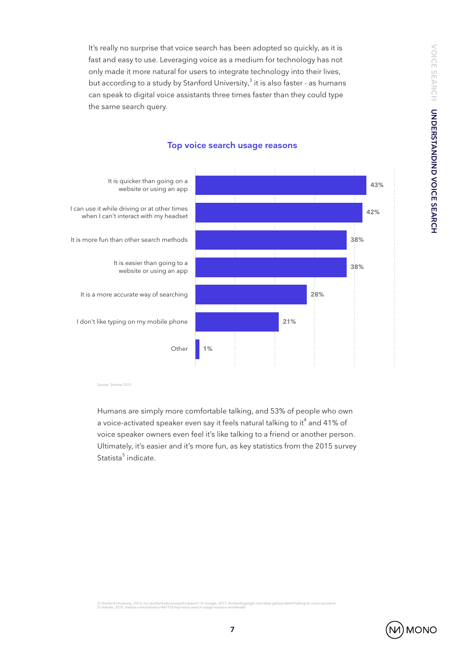**VOICE SEARCH UNDERSTANDIND VOICE SEARCH VOICE SEARCH UNDERSTANDIND VOICE SEARCH**

It's really no surprise that voice search has been adopted so quickly, as it is fast and easy to use. Leveraging voice as a medium for technology has not only made it more natural for users to integrate technology into their lives, but according to a study by Stanford University, $^3$  it is also faster - as humans can speak to digital voice assistants three times faster than they could type the same search query.



#### **Top voice search usage reasons**

Source: Statista 2015

Humans are simply more comfortable talking, and 53% of people who own a voice-activated speaker even say it feels natural talking to it $^4$  and 41% of voice speaker owners even feel it's like talking to a friend or another person. Ultimately, it's easier and it's more fun, as key statistics from the 2015 survey Statista<sup>5</sup> indicate.

3) Stanford University, 2016, hci.stanford.edu/research/speech/ 4) Google, 2017, thinkwithgoogle.com/data-gallery/detail/talking-to-voice-assistant/<br>5) Statista, 2015, statista.com/statistics/467725/top-voice-search-usage-

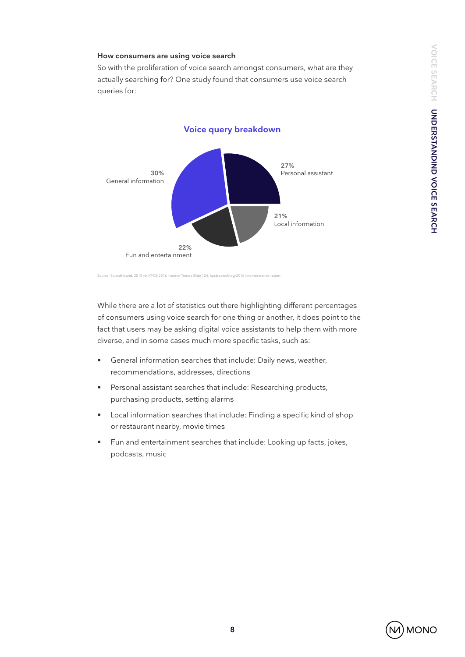#### **How consumers are using voice search**

So with the proliferation of voice search amongst consumers, what are they actually searching for? One study found that consumers use voice search queries for:



Source: SoundHound, 2015 via KPCB 2016 Internet Trends Slide 124: kpcb.com/blog/2016-internet-trends-report

While there are a lot of statistics out there highlighting different percentages of consumers using voice search for one thing or another, it does point to the fact that users may be asking digital voice assistants to help them with more diverse, and in some cases much more specific tasks, such as:

- General information searches that include: Daily news, weather, recommendations, addresses, directions
- Personal assistant searches that include: Researching products, purchasing products, setting alarms
- Local information searches that include: Finding a specific kind of shop or restaurant nearby, movie times
- Fun and entertainment searches that include: Looking up facts, jokes, podcasts, music

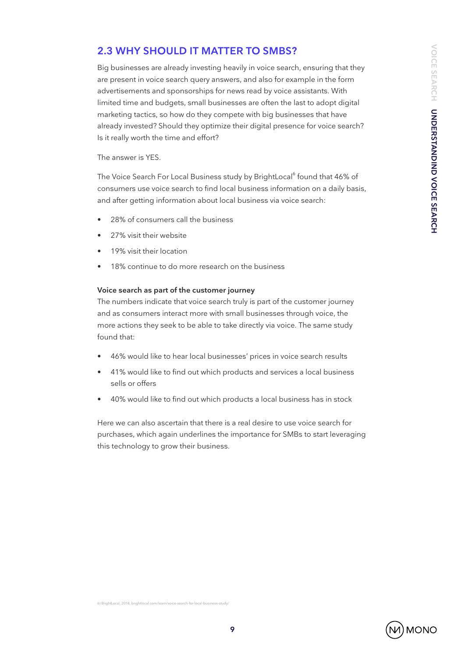## **2.3 WHY SHOULD IT MATTER TO SMBS?**

Big businesses are already investing heavily in voice search, ensuring that they are present in voice search query answers, and also for example in the form advertisements and sponsorships for news read by voice assistants. With limited time and budgets, small businesses are often the last to adopt digital marketing tactics, so how do they compete with big businesses that have already invested? Should they optimize their digital presence for voice search? Is it really worth the time and effort?

The answer is YES.

The Voice Search For Local Business study by BrightLocal<sup>6</sup> found that 46% of consumers use voice search to find local business information on a daily basis, and after getting information about local business via voice search:

- 28% of consumers call the business
- 27% visit their website
- 19% visit their location
- 18% continue to do more research on the business

#### **Voice search as part of the customer journey**

The numbers indicate that voice search truly is part of the customer journey and as consumers interact more with small businesses through voice, the more actions they seek to be able to take directly via voice. The same study found that:

- 46% would like to hear local businesses' prices in voice search results
- 41% would like to find out which products and services a local business sells or offers
- 40% would like to find out which products a local business has in stock

Here we can also ascertain that there is a real desire to use voice search for purchases, which again underlines the importance for SMBs to start leveraging this technology to grow their business.

6) BrightLocal, 2018, brightlocal.com/le

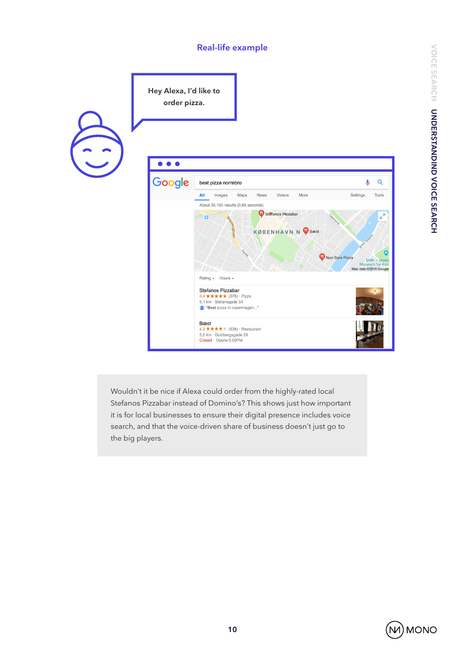### **Real-life example**



Wouldn't it be nice if Alexa could order from the highly-rated local Stefanos Pizzabar instead of Domino's? This shows just how important it is for local businesses to ensure their digital presence includes voice search, and that the voice-driven share of business doesn't just go to the big players.

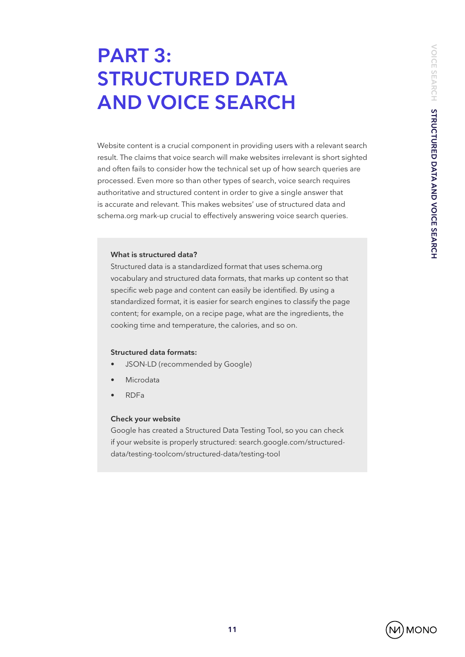# **PART 3: STRUCTURED DATA AND VOICE SEARCH**

Website content is a crucial component in providing users with a relevant search result. The claims that voice search will make websites irrelevant is short sighted and often fails to consider how the technical set up of how search queries are processed. Even more so than other types of search, voice search requires authoritative and structured content in order to give a single answer that is accurate and relevant. This makes websites' use of structured data and schema.org mark-up crucial to effectively answering voice search queries.

#### **What is structured data?**

Structured data is a standardized format that uses schema.org vocabulary and structured data formats, that marks up content so that specific web page and content can easily be identified. By using a standardized format, it is easier for search engines to classify the page content; for example, on a recipe page, what are the ingredients, the cooking time and temperature, the calories, and so on.

#### **Structured data formats:**

- JSON-LD (recommended by Google)
- **Microdata**
- RDFa

#### **Check your website**

Google has created a Structured Data Testing Tool, so you can check if your website is properly structured: search.google.com/structureddata/testing-toolcom/structured-data/testing-tool

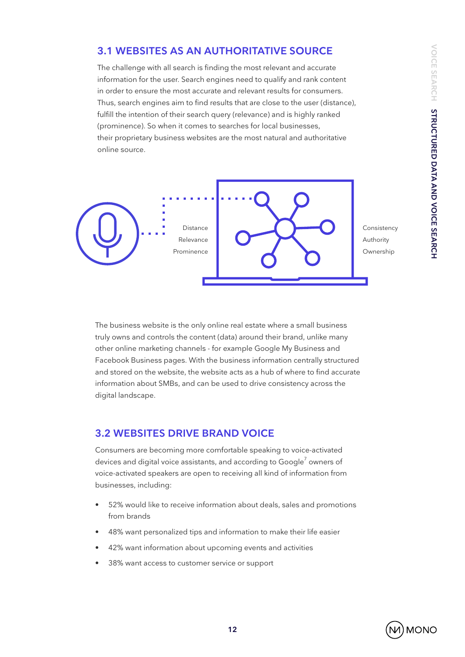## **3.1 WEBSITES AS AN AUTHORITATIVE SOURCE**

The challenge with all search is finding the most relevant and accurate information for the user. Search engines need to qualify and rank content in order to ensure the most accurate and relevant results for consumers. Thus, search engines aim to find results that are close to the user (distance), fulfill the intention of their search query (relevance) and is highly ranked (prominence). So when it comes to searches for local businesses, their proprietary business websites are the most natural and authoritative online source.



Consistency Authority Ownership

The business website is the only online real estate where a small business truly owns and controls the content (data) around their brand, unlike many other online marketing channels - for example Google My Business and Facebook Business pages. With the business information centrally structured and stored on the website, the website acts as a hub of where to find accurate information about SMBs, and can be used to drive consistency across the digital landscape.

### **3.2 WEBSITES DRIVE BRAND VOICE**

Consumers are becoming more comfortable speaking to voice-activated devices and digital voice assistants, and according to Google $^7$  owners of voice-activated speakers are open to receiving all kind of information from businesses, including:

- 52% would like to receive information about deals, sales and promotions from brands
- 48% want personalized tips and information to make their life easier
- 42% want information about upcoming events and activities
- 38% want access to customer service or support

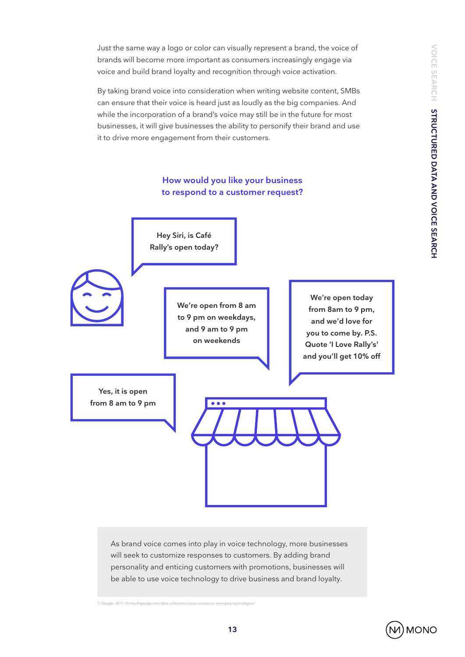VOICE SEARCH STRUCTURED DATA AND VOICE SEARCH **VOICE SEARCH STRUCTURED DATA AND VOICE SEARCH**

Just the same way a logo or color can visually represent a brand, the voice of brands will become more important as consumers increasingly engage via voice and build brand loyalty and recognition through voice activation.

By taking brand voice into consideration when writing website content, SMBs can ensure that their voice is heard just as loudly as the big companies. And while the incorporation of a brand's voice may still be in the future for most businesses, it will give businesses the ability to personify their brand and use it to drive more engagement from their customers.





7) Google, 2017, thinkwithgoogle.com/data-collections/voice-assistance-emerging-technologies/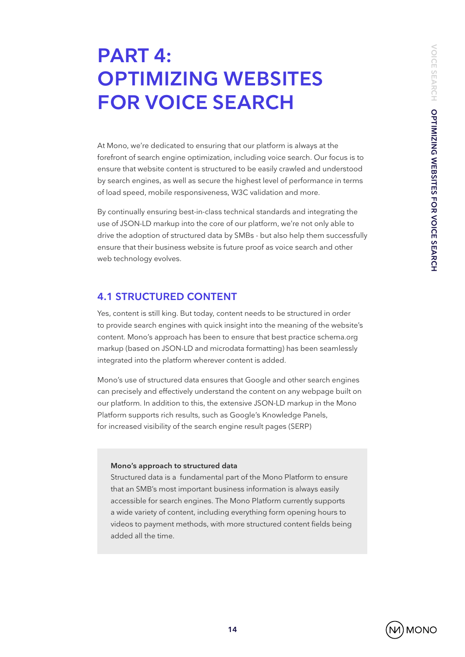# **PART 4: OPTIMIZING WEBSITES FOR VOICE SEARCH**

At Mono, we're dedicated to ensuring that our platform is always at the forefront of search engine optimization, including voice search. Our focus is to ensure that website content is structured to be easily crawled and understood by search engines, as well as secure the highest level of performance in terms of load speed, mobile responsiveness, W3C validation and more.

By continually ensuring best-in-class technical standards and integrating the use of JSON-LD markup into the core of our platform, we're not only able to drive the adoption of structured data by SMBs - but also help them successfully ensure that their business website is future proof as voice search and other web technology evolves.

### **4.1 STRUCTURED CONTENT**

Yes, content is still king. But today, content needs to be structured in order to provide search engines with quick insight into the meaning of the website's content. Mono's approach has been to ensure that best practice schema.org markup (based on JSON-LD and microdata formatting) has been seamlessly integrated into the platform wherever content is added.

Mono's use of structured data ensures that Google and other search engines can precisely and effectively understand the content on any webpage built on our platform. In addition to this, the extensive JSON-LD markup in the Mono Platform supports rich results, such as Google's Knowledge Panels, for increased visibility of the search engine result pages (SERP)

#### **Mono's approach to structured data**

Structured data is a fundamental part of the Mono Platform to ensure that an SMB's most important business information is always easily accessible for search engines. The Mono Platform currently supports a wide variety of content, including everything form opening hours to videos to payment methods, with more structured content fields being added all the time.

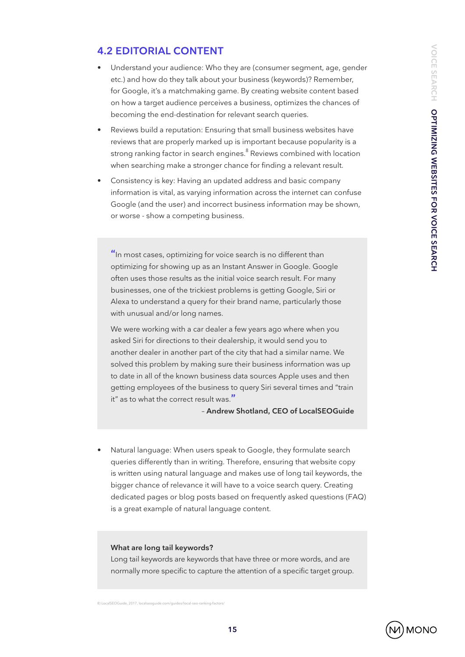### **4.2 EDITORIAL CONTENT**

- Understand your audience: Who they are (consumer segment, age, gender etc.) and how do they talk about your business (keywords)? Remember, for Google, it's a matchmaking game. By creating website content based on how a target audience perceives a business, optimizes the chances of becoming the end-destination for relevant search queries.
- Reviews build a reputation: Ensuring that small business websites have reviews that are properly marked up is important because popularity is a strong ranking factor in search engines. $^8$  Reviews combined with location when searching make a stronger chance for finding a relevant result.
- Consistency is key: Having an updated address and basic company information is vital, as varying information across the internet can confuse Google (and the user) and incorrect business information may be shown, or worse - show a competing business.

**"**In most cases, optimizing for voice search is no different than optimizing for showing up as an Instant Answer in Google. Google often uses those results as the initial voice search result. For many businesses, one of the trickiest problems is getting Google, Siri or Alexa to understand a query for their brand name, particularly those with unusual and/or long names.

We were working with a car dealer a few years ago where when you asked Siri for directions to their dealership, it would send you to another dealer in another part of the city that had a similar name. We solved this problem by making sure their business information was up to date in all of the known business data sources Apple uses and then getting employees of the business to query Siri several times and "train it" as to what the correct result was.**"**

– **Andrew Shotland, CEO of LocalSEOGuide**

• Natural language: When users speak to Google, they formulate search queries differently than in writing. Therefore, ensuring that website copy is written using natural language and makes use of long tail keywords, the bigger chance of relevance it will have to a voice search query. Creating dedicated pages or blog posts based on frequently asked questions (FAQ) is a great example of natural language content.

#### **What are long tail keywords?**

Long tail keywords are keywords that have three or more words, and are normally more specific to capture the attention of a specific target group.

8) LocalSEOGuide, 2017, localseoguide.com/guides/local-seo-ranking-factors/

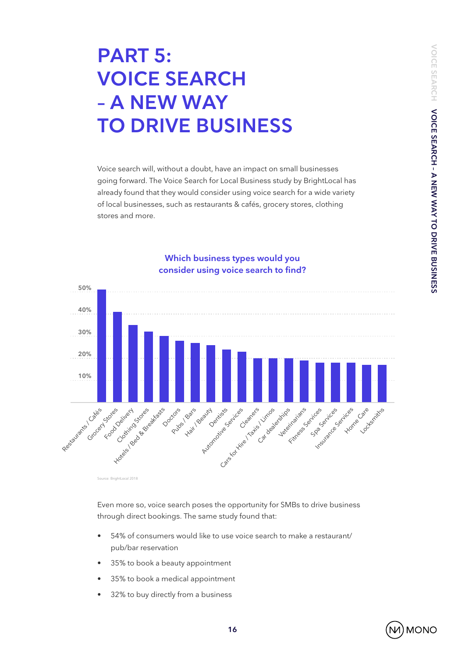# **PART 5: VOICE SEARCH – A NEW WAY TO DRIVE BUSINESS**

Voice search will, without a doubt, have an impact on small businesses going forward. The Voice Search for Local Business study by BrightLocal has already found that they would consider using voice search for a wide variety of local businesses, such as restaurants & cafés, grocery stores, clothing stores and more.



### **Which business types would you consider using voice search to find?**

or BrightLocal 2018

Even more so, voice search poses the opportunity for SMBs to drive business through direct bookings. The same study found that:

- 54% of consumers would like to use voice search to make a restaurant/ pub/bar reservation
- 35% to book a beauty appointment
- 35% to book a medical appointment
- 32% to buy directly from a business

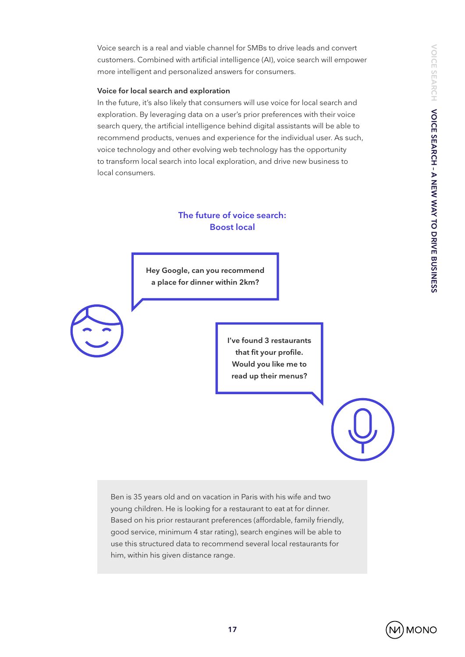Voice search is a real and viable channel for SMBs to drive leads and convert customers. Combined with artificial intelligence (AI), voice search will empower more intelligent and personalized answers for consumers.

#### **Voice for local search and exploration**

In the future, it's also likely that consumers will use voice for local search and exploration. By leveraging data on a user's prior preferences with their voice search query, the artificial intelligence behind digital assistants will be able to recommend products, venues and experience for the individual user. As such, voice technology and other evolving web technology has the opportunity to transform local search into local exploration, and drive new business to local consumers.

### **The future of voice search: Boost local**

**Hey Google, can you recommend a place for dinner within 2km?**

> **I've found 3 restaurants that fit your profile. Would you like me to read up their menus?**

Ben is 35 years old and on vacation in Paris with his wife and two young children. He is looking for a restaurant to eat at for dinner. Based on his prior restaurant preferences (affordable, family friendly, good service, minimum 4 star rating), search engines will be able to use this structured data to recommend several local restaurants for him, within his given distance range.

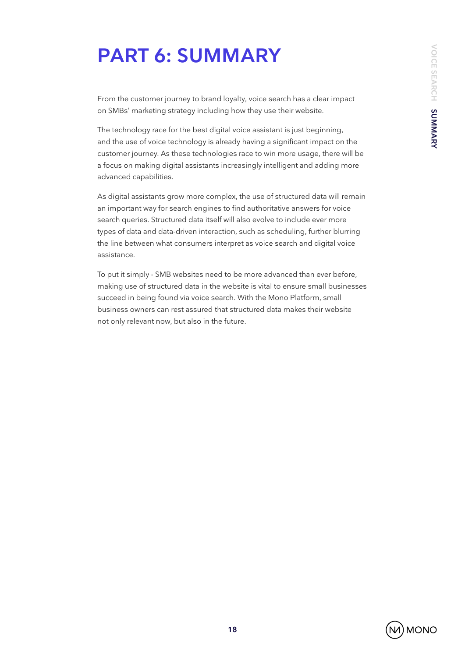# **PART 6: SUMMARY**

From the customer journey to brand loyalty, voice search has a clear impact on SMBs' marketing strategy including how they use their website.

The technology race for the best digital voice assistant is just beginning, and the use of voice technology is already having a significant impact on the customer journey. As these technologies race to win more usage, there will be a focus on making digital assistants increasingly intelligent and adding more advanced capabilities.

As digital assistants grow more complex, the use of structured data will remain an important way for search engines to find authoritative answers for voice search queries. Structured data itself will also evolve to include ever more types of data and data-driven interaction, such as scheduling, further blurring the line between what consumers interpret as voice search and digital voice assistance.

To put it simply - SMB websites need to be more advanced than ever before, making use of structured data in the website is vital to ensure small businesses succeed in being found via voice search. With the Mono Platform, small business owners can rest assured that structured data makes their website not only relevant now, but also in the future.